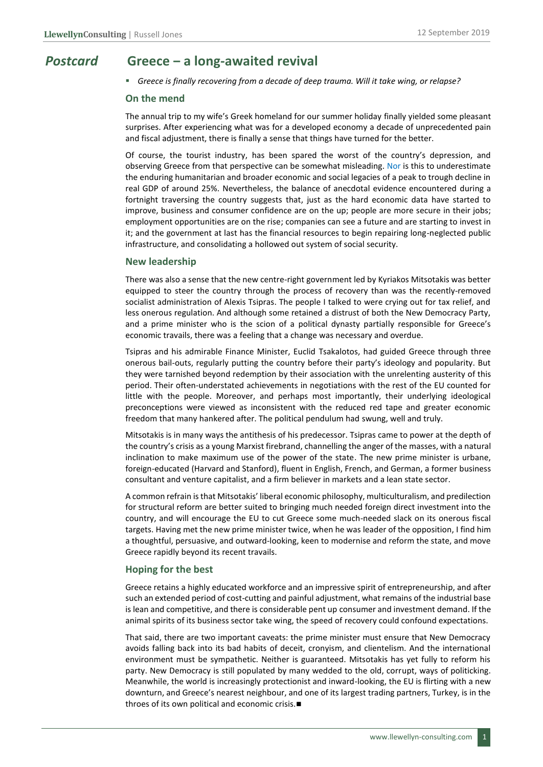## *Postcard* **Greece ‒ a long-awaited revival**

▪ *Greece is finally recovering from a decade of deep trauma. Will it take wing, or relapse?*

#### **On the mend**

The annual trip to my wife's Greek homeland for our summer holiday finally yielded some pleasant surprises. After experiencing what was for a developed economy a decade of unprecedented pain and fiscal adjustment, there is finally a sense that things have turned for the better.

Of course, the tourist industry, has been spared the worst of the country's depression, and observing Greece from that perspective can be somewhat misleading. Nor is this to underestimate the enduring humanitarian and broader economic and social legacies of a peak to trough decline in real GDP of around 25%. Nevertheless, the balance of anecdotal evidence encountered during a fortnight traversing the country suggests that, just as the hard economic data have started to improve, business and consumer confidence are on the up; people are more secure in their jobs; employment opportunities are on the rise; companies can see a future and are starting to invest in it; and the government at last has the financial resources to begin repairing long-neglected public infrastructure, and consolidating a hollowed out system of social security.

#### **New leadership**

There was also a sense that the new centre-right government led by Kyriakos Mitsotakis was better equipped to steer the country through the process of recovery than was the recently-removed socialist administration of Alexis Tsipras. The people I talked to were crying out for tax relief, and less onerous regulation. And although some retained a distrust of both the New Democracy Party, and a prime minister who is the scion of a political dynasty partially responsible for Greece's economic travails, there was a feeling that a change was necessary and overdue.

Tsipras and his admirable Finance Minister, Euclid Tsakalotos, had guided Greece through three onerous bail-outs, regularly putting the country before their party's ideology and popularity. But they were tarnished beyond redemption by their association with the unrelenting austerity of this period. Their often-understated achievements in negotiations with the rest of the EU counted for little with the people. Moreover, and perhaps most importantly, their underlying ideological preconceptions were viewed as inconsistent with the reduced red tape and greater economic freedom that many hankered after. The political pendulum had swung, well and truly.

Mitsotakis is in many ways the antithesis of his predecessor. Tsipras came to power at the depth of the country's crisis as a young Marxist firebrand, channelling the anger of the masses, with a natural inclination to make maximum use of the power of the state. The new prime minister is urbane, foreign-educated (Harvard and Stanford), fluent in English, French, and German, a former business consultant and venture capitalist, and a firm believer in markets and a lean state sector.

A common refrain isthat Mitsotakis' liberal economic philosophy, multiculturalism, and predilection for structural reform are better suited to bringing much needed foreign direct investment into the country, and will encourage the EU to cut Greece some much-needed slack on its onerous fiscal targets. Having met the new prime minister twice, when he was leader of the opposition, I find him a thoughtful, persuasive, and outward-looking, keen to modernise and reform the state, and move Greece rapidly beyond its recent travails.

### **Hoping for the best**

Greece retains a highly educated workforce and an impressive spirit of entrepreneurship, and after such an extended period of cost-cutting and painful adjustment, what remains of the industrial base is lean and competitive, and there is considerable pent up consumer and investment demand. If the animal spirits of its business sector take wing, the speed of recovery could confound expectations.

That said, there are two important caveats: the prime minister must ensure that New Democracy avoids falling back into its bad habits of deceit, cronyism, and clientelism. And the international environment must be sympathetic. Neither is guaranteed. Mitsotakis has yet fully to reform his party. New Democracy is still populated by many wedded to the old, corrupt, ways of politicking. Meanwhile, the world is increasingly protectionist and inward-looking, the EU is flirting with a new downturn, and Greece's nearest neighbour, and one of its largest trading partners, Turkey, is in the throes of its own political and economic crisis.■